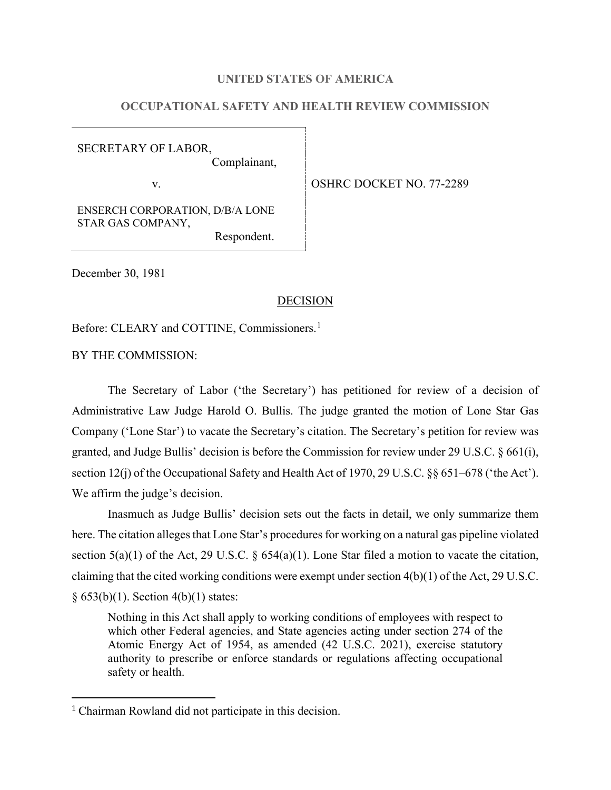### **UNITED STATES OF AMERICA**

# **OCCUPATIONAL SAFETY AND HEALTH REVIEW COMMISSION**

SECRETARY OF LABOR, Complainant,

v.

ENSERCH CORPORATION, D/B/A LONE STAR GAS COMPANY,

Respondent.

December 30, 1981

#### DECISION

Before: CLEARY and COTTINE, Commissioners.<sup>[1](#page-0-0)</sup>

BY THE COMMISSION:

The Secretary of Labor ('the Secretary') has petitioned for review of a decision of Administrative Law Judge Harold O. Bullis. The judge granted the motion of Lone Star Gas Company ('Lone Star') to vacate the Secretary's citation. The Secretary's petition for review was granted, and Judge Bullis' decision is before the Commission for review under 29 U.S.C. § 661(i), section 12(j) of the Occupational Safety and Health Act of 1970, 29 U.S.C. §§ 651–678 ('the Act'). We affirm the judge's decision.

Inasmuch as Judge Bullis' decision sets out the facts in detail, we only summarize them here. The citation alleges that Lone Star's procedures for working on a natural gas pipeline violated section 5(a)(1) of the Act, 29 U.S.C. § 654(a)(1). Lone Star filed a motion to vacate the citation, claiming that the cited working conditions were exempt under section 4(b)(1) of the Act, 29 U.S.C. § 653(b)(1). Section 4(b)(1) states:

Nothing in this Act shall apply to working conditions of employees with respect to which other Federal agencies, and State agencies acting under section 274 of the Atomic Energy Act of 1954, as amended (42 U.S.C. 2021), exercise statutory authority to prescribe or enforce standards or regulations affecting occupational safety or health.

<span id="page-0-0"></span><sup>1</sup> Chairman Rowland did not participate in this decision.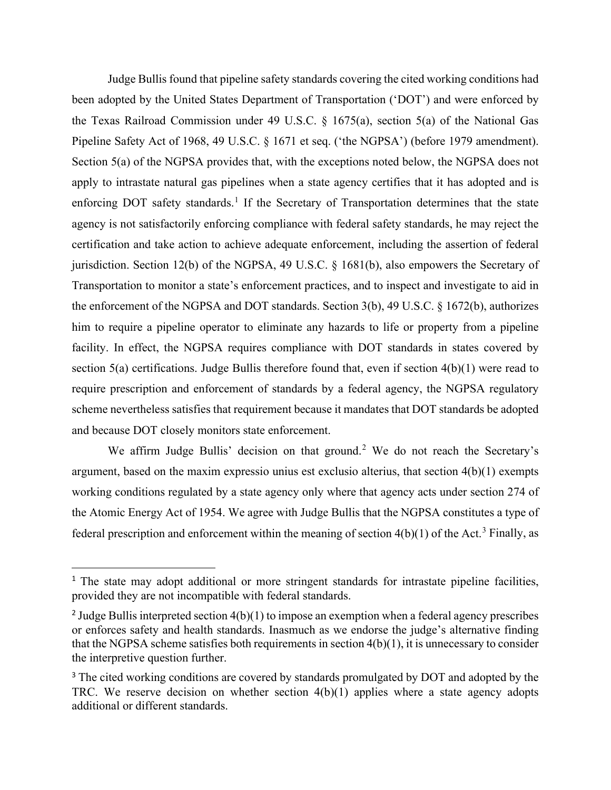Judge Bullis found that pipeline safety standards covering the cited working conditions had been adopted by the United States Department of Transportation ('DOT') and were enforced by the Texas Railroad Commission under 49 U.S.C. § 1675(a), section 5(a) of the National Gas Pipeline Safety Act of 1968, 49 U.S.C. § 1671 et seq. ('the NGPSA') (before 1979 amendment). Section 5(a) of the NGPSA provides that, with the exceptions noted below, the NGPSA does not apply to intrastate natural gas pipelines when a state agency certifies that it has adopted and is enforcing DOT safety standards.<sup>[1](#page-1-0)</sup> If the Secretary of Transportation determines that the state agency is not satisfactorily enforcing compliance with federal safety standards, he may reject the certification and take action to achieve adequate enforcement, including the assertion of federal jurisdiction. Section 12(b) of the NGPSA, 49 U.S.C. § 1681(b), also empowers the Secretary of Transportation to monitor a state's enforcement practices, and to inspect and investigate to aid in the enforcement of the NGPSA and DOT standards. Section 3(b), 49 U.S.C. § 1672(b), authorizes him to require a pipeline operator to eliminate any hazards to life or property from a pipeline facility. In effect, the NGPSA requires compliance with DOT standards in states covered by section 5(a) certifications. Judge Bullis therefore found that, even if section 4(b)(1) were read to require prescription and enforcement of standards by a federal agency, the NGPSA regulatory scheme nevertheless satisfies that requirement because it mandates that DOT standards be adopted and because DOT closely monitors state enforcement.

We affirm Judge Bullis' decision on that ground.<sup>[2](#page-1-1)</sup> We do not reach the Secretary's argument, based on the maxim expressio unius est exclusio alterius, that section 4(b)(1) exempts working conditions regulated by a state agency only where that agency acts under section 274 of the Atomic Energy Act of 1954. We agree with Judge Bullis that the NGPSA constitutes a type of federal prescription and enforcement within the meaning of section  $4(b)(1)$  of the Act.<sup>[3](#page-1-2)</sup> Finally, as

<span id="page-1-0"></span><sup>&</sup>lt;sup>1</sup> The state may adopt additional or more stringent standards for intrastate pipeline facilities, provided they are not incompatible with federal standards.

<span id="page-1-1"></span><sup>&</sup>lt;sup>2</sup> Judge Bullis interpreted section  $4(b)(1)$  to impose an exemption when a federal agency prescribes or enforces safety and health standards. Inasmuch as we endorse the judge's alternative finding that the NGPSA scheme satisfies both requirements in section  $4(b)(1)$ , it is unnecessary to consider the interpretive question further.

<span id="page-1-2"></span><sup>&</sup>lt;sup>3</sup> The cited working conditions are covered by standards promulgated by DOT and adopted by the TRC. We reserve decision on whether section 4(b)(1) applies where a state agency adopts additional or different standards.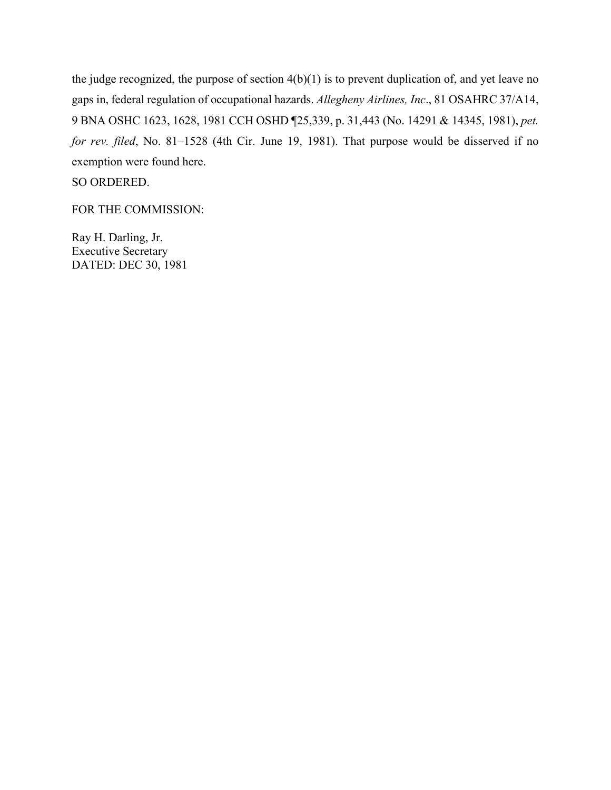the judge recognized, the purpose of section 4(b)(1) is to prevent duplication of, and yet leave no gaps in, federal regulation of occupational hazards. *Allegheny Airlines, Inc*., 81 OSAHRC 37/A14, 9 BNA OSHC 1623, 1628, 1981 CCH OSHD ¶25,339, p. 31,443 (No. 14291 & 14345, 1981), *pet. for rev. filed*, No. 81–1528 (4th Cir. June 19, 1981). That purpose would be disserved if no exemption were found here.

SO ORDERED.

FOR THE COMMISSION:

Ray H. Darling, Jr. Executive Secretary DATED: DEC 30, 1981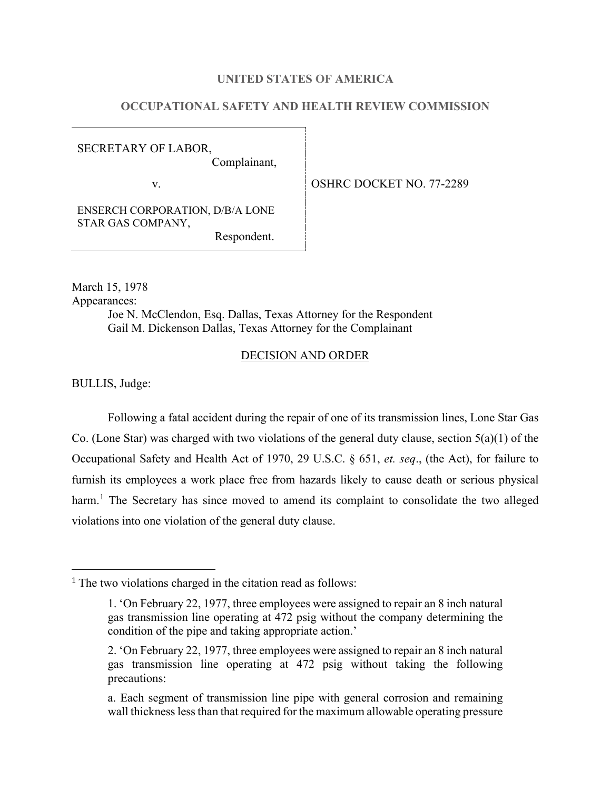### **UNITED STATES OF AMERICA**

# **OCCUPATIONAL SAFETY AND HEALTH REVIEW COMMISSION**

SECRETARY OF LABOR, Complainant,

v. 0SHRC DOCKET NO. 77-2289

ENSERCH CORPORATION, D/B/A LONE STAR GAS COMPANY,

Respondent.

March 15, 1978 Appearances: Joe N. McClendon, Esq. Dallas, Texas Attorney for the Respondent Gail M. Dickenson Dallas, Texas Attorney for the Complainant

#### DECISION AND ORDER

BULLIS, Judge:

Following a fatal accident during the repair of one of its transmission lines, Lone Star Gas Co. (Lone Star) was charged with two violations of the general duty clause, section 5(a)(1) of the Occupational Safety and Health Act of 1970, 29 U.S.C. § 651, *et. seq*., (the Act), for failure to furnish its employees a work place free from hazards likely to cause death or serious physical harm.<sup>[1](#page-3-0)</sup> The Secretary has since moved to amend its complaint to consolidate the two alleged violations into one violation of the general duty clause.

<span id="page-3-0"></span><sup>&</sup>lt;sup>1</sup> The two violations charged in the citation read as follows:

<sup>1. &#</sup>x27;On February 22, 1977, three employees were assigned to repair an 8 inch natural gas transmission line operating at 472 psig without the company determining the condition of the pipe and taking appropriate action.'

<sup>2. &#</sup>x27;On February 22, 1977, three employees were assigned to repair an 8 inch natural gas transmission line operating at 472 psig without taking the following precautions:

a. Each segment of transmission line pipe with general corrosion and remaining wall thickness less than that required for the maximum allowable operating pressure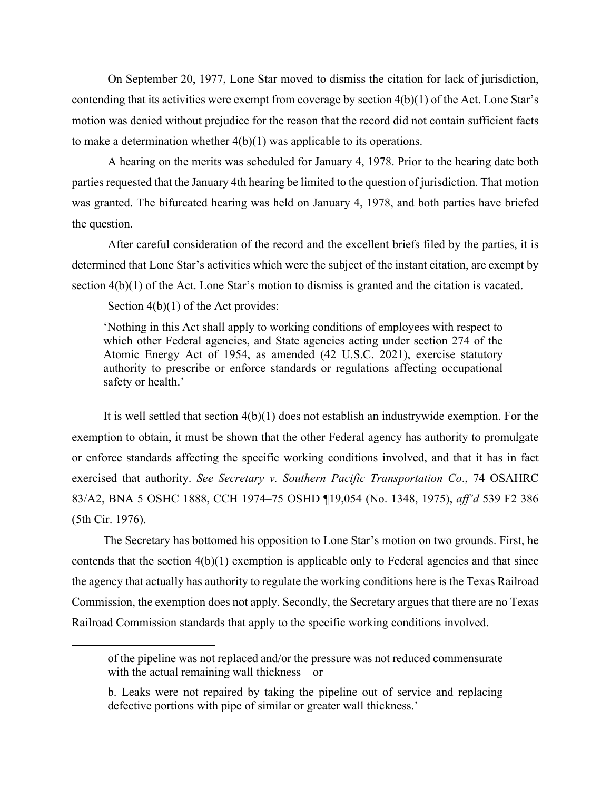On September 20, 1977, Lone Star moved to dismiss the citation for lack of jurisdiction, contending that its activities were exempt from coverage by section 4(b)(1) of the Act. Lone Star's motion was denied without prejudice for the reason that the record did not contain sufficient facts to make a determination whether 4(b)(1) was applicable to its operations.

A hearing on the merits was scheduled for January 4, 1978. Prior to the hearing date both parties requested that the January 4th hearing be limited to the question of jurisdiction. That motion was granted. The bifurcated hearing was held on January 4, 1978, and both parties have briefed the question.

After careful consideration of the record and the excellent briefs filed by the parties, it is determined that Lone Star's activities which were the subject of the instant citation, are exempt by section 4(b)(1) of the Act. Lone Star's motion to dismiss is granted and the citation is vacated.

Section  $4(b)(1)$  of the Act provides:

'Nothing in this Act shall apply to working conditions of employees with respect to which other Federal agencies, and State agencies acting under section 274 of the Atomic Energy Act of 1954, as amended (42 U.S.C. 2021), exercise statutory authority to prescribe or enforce standards or regulations affecting occupational safety or health.'

It is well settled that section  $4(b)(1)$  does not establish an industrywide exemption. For the exemption to obtain, it must be shown that the other Federal agency has authority to promulgate or enforce standards affecting the specific working conditions involved, and that it has in fact exercised that authority. *See Secretary v. Southern Pacific Transportation Co*., 74 OSAHRC 83/A2, BNA 5 OSHC 1888, CCH 1974–75 OSHD ¶19,054 (No. 1348, 1975), *aff'd* 539 F2 386 (5th Cir. 1976).

The Secretary has bottomed his opposition to Lone Star's motion on two grounds. First, he contends that the section  $4(b)(1)$  exemption is applicable only to Federal agencies and that since the agency that actually has authority to regulate the working conditions here is the Texas Railroad Commission, the exemption does not apply. Secondly, the Secretary argues that there are no Texas Railroad Commission standards that apply to the specific working conditions involved.

of the pipeline was not replaced and/or the pressure was not reduced commensurate with the actual remaining wall thickness—or

b. Leaks were not repaired by taking the pipeline out of service and replacing defective portions with pipe of similar or greater wall thickness.'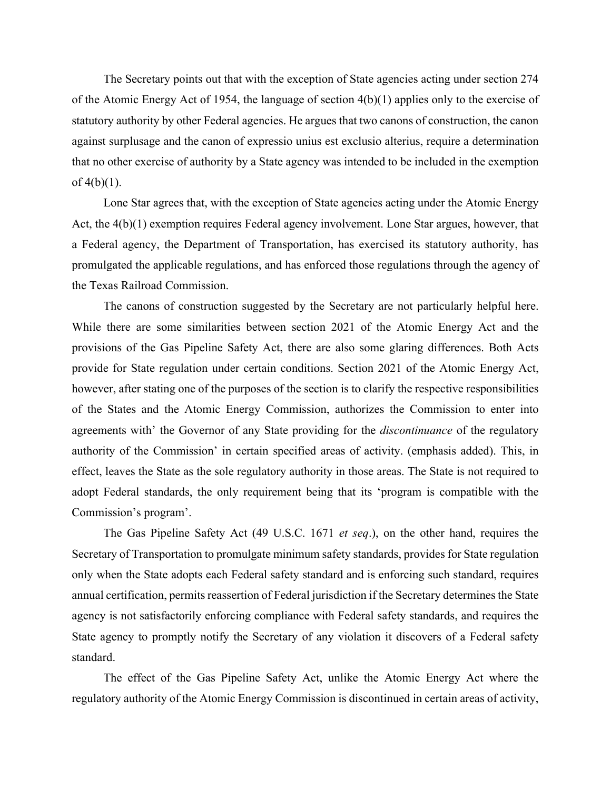The Secretary points out that with the exception of State agencies acting under section 274 of the Atomic Energy Act of 1954, the language of section 4(b)(1) applies only to the exercise of statutory authority by other Federal agencies. He argues that two canons of construction, the canon against surplusage and the canon of expressio unius est exclusio alterius, require a determination that no other exercise of authority by a State agency was intended to be included in the exemption of  $4(b)(1)$ .

Lone Star agrees that, with the exception of State agencies acting under the Atomic Energy Act, the 4(b)(1) exemption requires Federal agency involvement. Lone Star argues, however, that a Federal agency, the Department of Transportation, has exercised its statutory authority, has promulgated the applicable regulations, and has enforced those regulations through the agency of the Texas Railroad Commission.

The canons of construction suggested by the Secretary are not particularly helpful here. While there are some similarities between section 2021 of the Atomic Energy Act and the provisions of the Gas Pipeline Safety Act, there are also some glaring differences. Both Acts provide for State regulation under certain conditions. Section 2021 of the Atomic Energy Act, however, after stating one of the purposes of the section is to clarify the respective responsibilities of the States and the Atomic Energy Commission, authorizes the Commission to enter into agreements with' the Governor of any State providing for the *discontinuance* of the regulatory authority of the Commission' in certain specified areas of activity. (emphasis added). This, in effect, leaves the State as the sole regulatory authority in those areas. The State is not required to adopt Federal standards, the only requirement being that its 'program is compatible with the Commission's program'.

The Gas Pipeline Safety Act (49 U.S.C. 1671 *et seq*.), on the other hand, requires the Secretary of Transportation to promulgate minimum safety standards, provides for State regulation only when the State adopts each Federal safety standard and is enforcing such standard, requires annual certification, permits reassertion of Federal jurisdiction if the Secretary determines the State agency is not satisfactorily enforcing compliance with Federal safety standards, and requires the State agency to promptly notify the Secretary of any violation it discovers of a Federal safety standard.

The effect of the Gas Pipeline Safety Act, unlike the Atomic Energy Act where the regulatory authority of the Atomic Energy Commission is discontinued in certain areas of activity,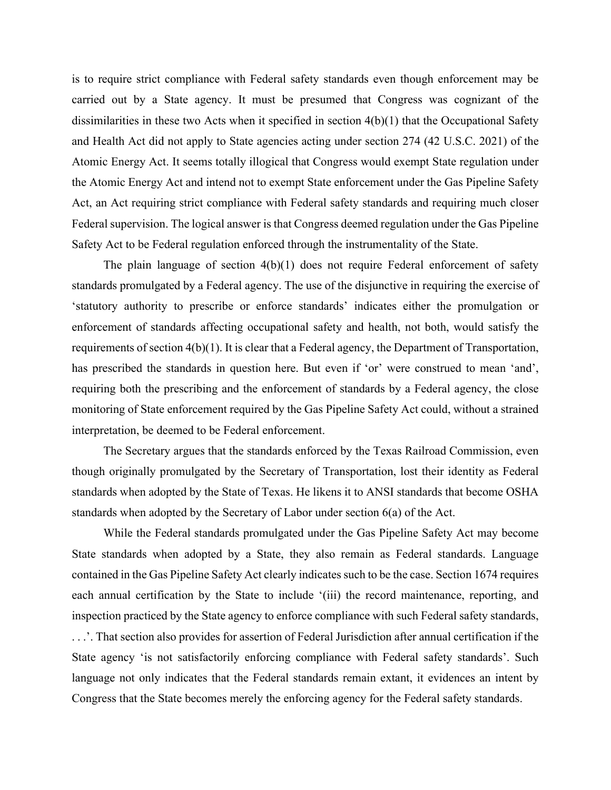is to require strict compliance with Federal safety standards even though enforcement may be carried out by a State agency. It must be presumed that Congress was cognizant of the dissimilarities in these two Acts when it specified in section 4(b)(1) that the Occupational Safety and Health Act did not apply to State agencies acting under section 274 (42 U.S.C. 2021) of the Atomic Energy Act. It seems totally illogical that Congress would exempt State regulation under the Atomic Energy Act and intend not to exempt State enforcement under the Gas Pipeline Safety Act, an Act requiring strict compliance with Federal safety standards and requiring much closer Federal supervision. The logical answer is that Congress deemed regulation under the Gas Pipeline Safety Act to be Federal regulation enforced through the instrumentality of the State.

The plain language of section 4(b)(1) does not require Federal enforcement of safety standards promulgated by a Federal agency. The use of the disjunctive in requiring the exercise of 'statutory authority to prescribe or enforce standards' indicates either the promulgation or enforcement of standards affecting occupational safety and health, not both, would satisfy the requirements of section 4(b)(1). It is clear that a Federal agency, the Department of Transportation, has prescribed the standards in question here. But even if 'or' were construed to mean 'and', requiring both the prescribing and the enforcement of standards by a Federal agency, the close monitoring of State enforcement required by the Gas Pipeline Safety Act could, without a strained interpretation, be deemed to be Federal enforcement.

The Secretary argues that the standards enforced by the Texas Railroad Commission, even though originally promulgated by the Secretary of Transportation, lost their identity as Federal standards when adopted by the State of Texas. He likens it to ANSI standards that become OSHA standards when adopted by the Secretary of Labor under section 6(a) of the Act.

While the Federal standards promulgated under the Gas Pipeline Safety Act may become State standards when adopted by a State, they also remain as Federal standards. Language contained in the Gas Pipeline Safety Act clearly indicates such to be the case. Section 1674 requires each annual certification by the State to include '(iii) the record maintenance, reporting, and inspection practiced by the State agency to enforce compliance with such Federal safety standards, . . .'. That section also provides for assertion of Federal Jurisdiction after annual certification if the State agency 'is not satisfactorily enforcing compliance with Federal safety standards'. Such language not only indicates that the Federal standards remain extant, it evidences an intent by Congress that the State becomes merely the enforcing agency for the Federal safety standards.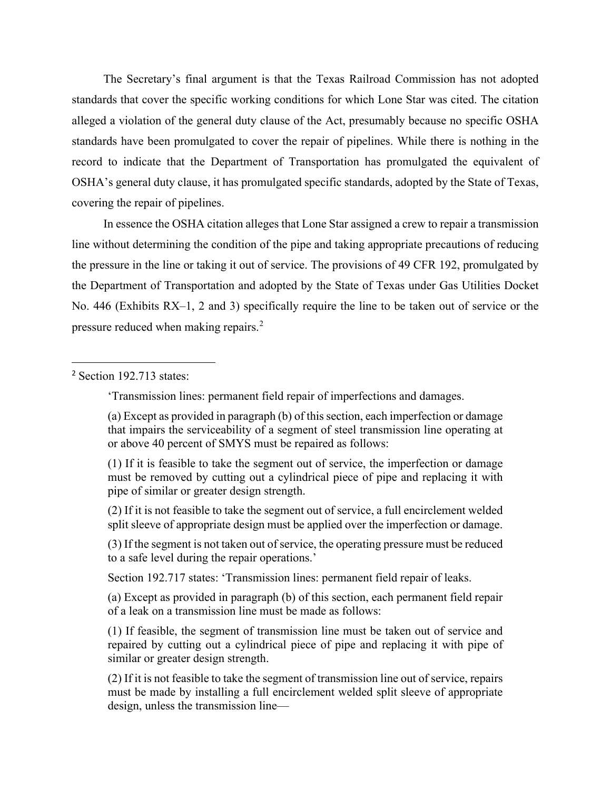The Secretary's final argument is that the Texas Railroad Commission has not adopted standards that cover the specific working conditions for which Lone Star was cited. The citation alleged a violation of the general duty clause of the Act, presumably because no specific OSHA standards have been promulgated to cover the repair of pipelines. While there is nothing in the record to indicate that the Department of Transportation has promulgated the equivalent of OSHA's general duty clause, it has promulgated specific standards, adopted by the State of Texas, covering the repair of pipelines.

In essence the OSHA citation alleges that Lone Star assigned a crew to repair a transmission line without determining the condition of the pipe and taking appropriate precautions of reducing the pressure in the line or taking it out of service. The provisions of 49 CFR 192, promulgated by the Department of Transportation and adopted by the State of Texas under Gas Utilities Docket No. 446 (Exhibits RX–1, 2 and 3) specifically require the line to be taken out of service or the pressure reduced when making repairs.[2](#page-7-0)

<span id="page-7-0"></span><sup>2</sup> Section 192.713 states:

'Transmission lines: permanent field repair of imperfections and damages.

(a) Except as provided in paragraph (b) of this section, each imperfection or damage that impairs the serviceability of a segment of steel transmission line operating at or above 40 percent of SMYS must be repaired as follows:

(1) If it is feasible to take the segment out of service, the imperfection or damage must be removed by cutting out a cylindrical piece of pipe and replacing it with pipe of similar or greater design strength.

(2) If it is not feasible to take the segment out of service, a full encirclement welded split sleeve of appropriate design must be applied over the imperfection or damage.

(3) If the segment is not taken out of service, the operating pressure must be reduced to a safe level during the repair operations.'

Section 192.717 states: 'Transmission lines: permanent field repair of leaks.

(a) Except as provided in paragraph (b) of this section, each permanent field repair of a leak on a transmission line must be made as follows:

(1) If feasible, the segment of transmission line must be taken out of service and repaired by cutting out a cylindrical piece of pipe and replacing it with pipe of similar or greater design strength.

(2) If it is not feasible to take the segment of transmission line out of service, repairs must be made by installing a full encirclement welded split sleeve of appropriate design, unless the transmission line—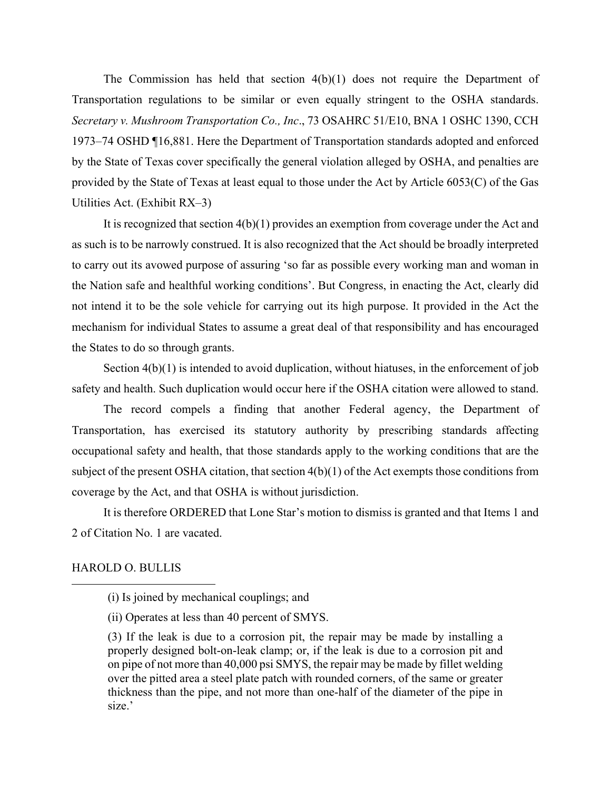The Commission has held that section 4(b)(1) does not require the Department of Transportation regulations to be similar or even equally stringent to the OSHA standards. *Secretary v. Mushroom Transportation Co., Inc*., 73 OSAHRC 51/E10, BNA 1 OSHC 1390, CCH 1973–74 OSHD ¶16,881. Here the Department of Transportation standards adopted and enforced by the State of Texas cover specifically the general violation alleged by OSHA, and penalties are provided by the State of Texas at least equal to those under the Act by Article 6053(C) of the Gas Utilities Act. (Exhibit RX–3)

It is recognized that section 4(b)(1) provides an exemption from coverage under the Act and as such is to be narrowly construed. It is also recognized that the Act should be broadly interpreted to carry out its avowed purpose of assuring 'so far as possible every working man and woman in the Nation safe and healthful working conditions'. But Congress, in enacting the Act, clearly did not intend it to be the sole vehicle for carrying out its high purpose. It provided in the Act the mechanism for individual States to assume a great deal of that responsibility and has encouraged the States to do so through grants.

Section  $4(b)(1)$  is intended to avoid duplication, without hiatuses, in the enforcement of job safety and health. Such duplication would occur here if the OSHA citation were allowed to stand.

The record compels a finding that another Federal agency, the Department of Transportation, has exercised its statutory authority by prescribing standards affecting occupational safety and health, that those standards apply to the working conditions that are the subject of the present OSHA citation, that section 4(b)(1) of the Act exempts those conditions from coverage by the Act, and that OSHA is without jurisdiction.

It is therefore ORDERED that Lone Star's motion to dismiss is granted and that Items 1 and 2 of Citation No. 1 are vacated.

## HAROLD O. BULLIS

<sup>(</sup>i) Is joined by mechanical couplings; and

<sup>(</sup>ii) Operates at less than 40 percent of SMYS.

<sup>(3)</sup> If the leak is due to a corrosion pit, the repair may be made by installing a properly designed bolt-on-leak clamp; or, if the leak is due to a corrosion pit and on pipe of not more than 40,000 psi SMYS, the repair may be made by fillet welding over the pitted area a steel plate patch with rounded corners, of the same or greater thickness than the pipe, and not more than one-half of the diameter of the pipe in size.'